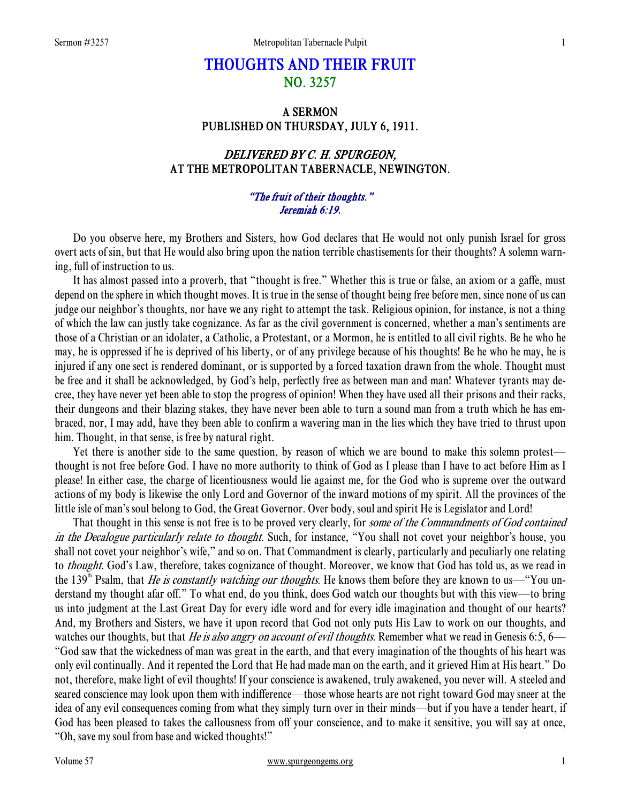# THOUGHTS AND THEIR FRUIT NO. 3257

## A SERMON PUBLISHED ON THURSDAY, JULY 6, 1911.

## DELIVERED BY C. H. SPURGEON, AT THE METROPOLITAN TABERNACLE, NEWINGTON.

### "The fruit of their thoughts." Jeremiah 6:19.

 Do you observe here, my Brothers and Sisters, how God declares that He would not only punish Israel for gross overt acts of sin, but that He would also bring upon the nation terrible chastisements for their thoughts? A solemn warning, full of instruction to us.

 It has almost passed into a proverb, that "thought is free." Whether this is true or false, an axiom or a gaffe, must depend on the sphere in which thought moves. It is true in the sense of thought being free before men, since none of us can judge our neighbor's thoughts, nor have we any right to attempt the task. Religious opinion, for instance, is not a thing of which the law can justly take cognizance. As far as the civil government is concerned, whether a man's sentiments are those of a Christian or an idolater, a Catholic, a Protestant, or a Mormon, he is entitled to all civil rights. Be he who he may, he is oppressed if he is deprived of his liberty, or of any privilege because of his thoughts! Be he who he may, he is injured if any one sect is rendered dominant, or is supported by a forced taxation drawn from the whole. Thought must be free and it shall be acknowledged, by God's help, perfectly free as between man and man! Whatever tyrants may decree, they have never yet been able to stop the progress of opinion! When they have used all their prisons and their racks, their dungeons and their blazing stakes, they have never been able to turn a sound man from a truth which he has embraced, nor, I may add, have they been able to confirm a wavering man in the lies which they have tried to thrust upon him. Thought, in that sense, is free by natural right.

 Yet there is another side to the same question, by reason of which we are bound to make this solemn protest thought is not free before God. I have no more authority to think of God as I please than I have to act before Him as I please! In either case, the charge of licentiousness would lie against me, for the God who is supreme over the outward actions of my body is likewise the only Lord and Governor of the inward motions of my spirit. All the provinces of the little isle of man's soul belong to God, the Great Governor. Over body, soul and spirit He is Legislator and Lord!

That thought in this sense is not free is to be proved very clearly, for some of the Commandments of God contained in the Decalogue particularly relate to thought. Such, for instance, "You shall not covet your neighbor's house, you shall not covet your neighbor's wife," and so on. That Commandment is clearly, particularly and peculiarly one relating to *thought*. God's Law, therefore, takes cognizance of thought. Moreover, we know that God has told us, as we read in the 139<sup>th</sup> Psalm, that *He is constantly watching our thoughts*. He knows them before they are known to us—"You understand my thought afar off." To what end, do you think, does God watch our thoughts but with this view—to bring us into judgment at the Last Great Day for every idle word and for every idle imagination and thought of our hearts? And, my Brothers and Sisters, we have it upon record that God not only puts His Law to work on our thoughts, and watches our thoughts, but that *He is also angry on account of evil thoughts*. Remember what we read in Genesis 6:5, 6— "God saw that the wickedness of man was great in the earth, and that every imagination of the thoughts of his heart was only evil continually. And it repented the Lord that He had made man on the earth, and it grieved Him at His heart." Do not, therefore, make light of evil thoughts! If your conscience is awakened, truly awakened, you never will. A steeled and seared conscience may look upon them with indifference—those whose hearts are not right toward God may sneer at the idea of any evil consequences coming from what they simply turn over in their minds—but if you have a tender heart, if God has been pleased to takes the callousness from off your conscience, and to make it sensitive, you will say at once, "Oh, save my soul from base and wicked thoughts!"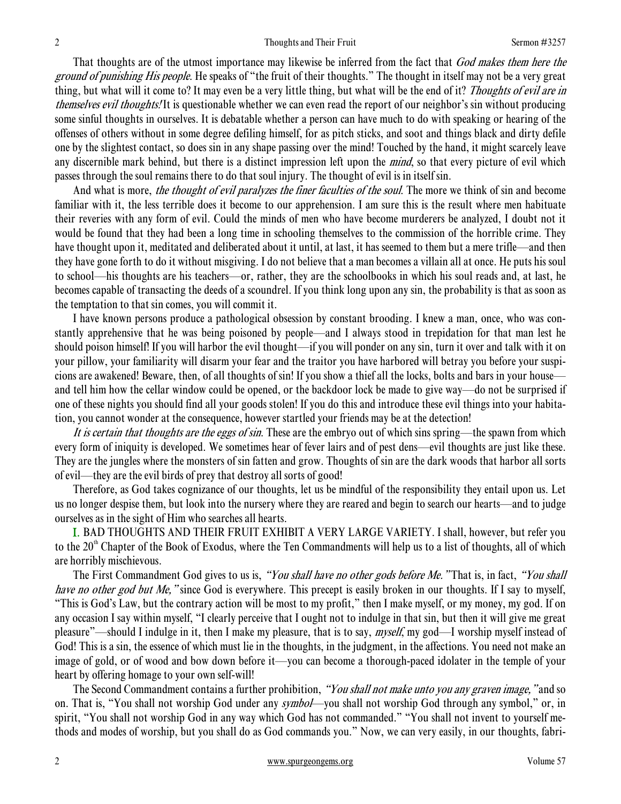That thoughts are of the utmost importance may likewise be inferred from the fact that God makes them here the ground of punishing His people. He speaks of "the fruit of their thoughts." The thought in itself may not be a very great thing, but what will it come to? It may even be a very little thing, but what will be the end of it? Thoughts of evil are in themselves evil thoughts! It is questionable whether we can even read the report of our neighbor's sin without producing some sinful thoughts in ourselves. It is debatable whether a person can have much to do with speaking or hearing of the offenses of others without in some degree defiling himself, for as pitch sticks, and soot and things black and dirty defile one by the slightest contact, so does sin in any shape passing over the mind! Touched by the hand, it might scarcely leave any discernible mark behind, but there is a distinct impression left upon the *mind*, so that every picture of evil which passes through the soul remains there to do that soul injury. The thought of evil is in itself sin.

And what is more, the thought of evil paralyzes the finer faculties of the soul. The more we think of sin and become familiar with it, the less terrible does it become to our apprehension. I am sure this is the result where men habituate their reveries with any form of evil. Could the minds of men who have become murderers be analyzed, I doubt not it would be found that they had been a long time in schooling themselves to the commission of the horrible crime. They have thought upon it, meditated and deliberated about it until, at last, it has seemed to them but a mere trifle—and then they have gone forth to do it without misgiving. I do not believe that a man becomes a villain all at once. He puts his soul to school—his thoughts are his teachers—or, rather, they are the schoolbooks in which his soul reads and, at last, he becomes capable of transacting the deeds of a scoundrel. If you think long upon any sin, the probability is that as soon as the temptation to that sin comes, you will commit it.

 I have known persons produce a pathological obsession by constant brooding. I knew a man, once, who was constantly apprehensive that he was being poisoned by people—and I always stood in trepidation for that man lest he should poison himself! If you will harbor the evil thought—if you will ponder on any sin, turn it over and talk with it on your pillow, your familiarity will disarm your fear and the traitor you have harbored will betray you before your suspicions are awakened! Beware, then, of all thoughts of sin! If you show a thief all the locks, bolts and bars in your house and tell him how the cellar window could be opened, or the backdoor lock be made to give way—do not be surprised if one of these nights you should find all your goods stolen! If you do this and introduce these evil things into your habitation, you cannot wonder at the consequence, however startled your friends may be at the detection!

It is certain that thoughts are the eggs of sin. These are the embryo out of which sins spring—the spawn from which every form of iniquity is developed. We sometimes hear of fever lairs and of pest dens—evil thoughts are just like these. They are the jungles where the monsters of sin fatten and grow. Thoughts of sin are the dark woods that harbor all sorts of evil—they are the evil birds of prey that destroy all sorts of good!

 Therefore, as God takes cognizance of our thoughts, let us be mindful of the responsibility they entail upon us. Let us no longer despise them, but look into the nursery where they are reared and begin to search our hearts—and to judge ourselves as in the sight of Him who searches all hearts.

I. BAD THOUGHTS AND THEIR FRUIT EXHIBIT A VERY LARGE VARIETY. I shall, however, but refer you to the  $20<sup>th</sup>$  Chapter of the Book of Exodus, where the Ten Commandments will help us to a list of thoughts, all of which are horribly mischievous.

The First Commandment God gives to us is, "You shall have no other gods before Me." That is, in fact, "You shall have no other god but Me, "since God is everywhere. This precept is easily broken in our thoughts. If I say to myself, "This is God's Law, but the contrary action will be most to my profit," then I make myself, or my money, my god. If on any occasion I say within myself, "I clearly perceive that I ought not to indulge in that sin, but then it will give me great pleasure"—should I indulge in it, then I make my pleasure, that is to say, *myself*, my god—I worship myself instead of God! This is a sin, the essence of which must lie in the thoughts, in the judgment, in the affections. You need not make an image of gold, or of wood and bow down before it—you can become a thorough-paced idolater in the temple of your heart by offering homage to your own self-will!

The Second Commandment contains a further prohibition, "You shall not make unto you any graven image," and so on. That is, "You shall not worship God under any *symbol*—you shall not worship God through any symbol," or, in spirit, "You shall not worship God in any way which God has not commanded." "You shall not invent to yourself methods and modes of worship, but you shall do as God commands you." Now, we can very easily, in our thoughts, fabri-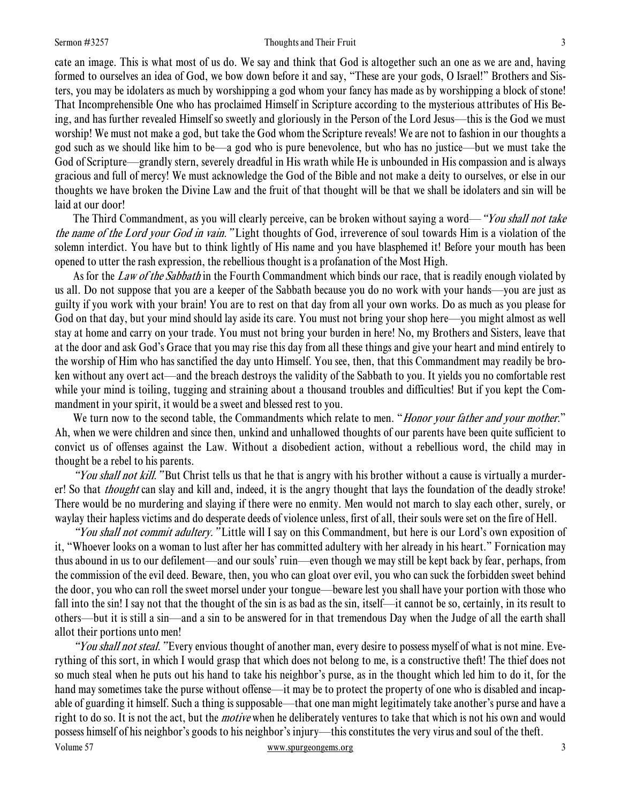### Sermon #3257 **Sermon #3257** Thoughts and Their Fruit 3

cate an image. This is what most of us do. We say and think that God is altogether such an one as we are and, having formed to ourselves an idea of God, we bow down before it and say, "These are your gods, O Israel!" Brothers and Sisters, you may be idolaters as much by worshipping a god whom your fancy has made as by worshipping a block of stone! That Incomprehensible One who has proclaimed Himself in Scripture according to the mysterious attributes of His Being, and has further revealed Himself so sweetly and gloriously in the Person of the Lord Jesus—this is the God we must worship! We must not make a god, but take the God whom the Scripture reveals! We are not to fashion in our thoughts a god such as we should like him to be—a god who is pure benevolence, but who has no justice—but we must take the God of Scripture—grandly stern, severely dreadful in His wrath while He is unbounded in His compassion and is always gracious and full of mercy! We must acknowledge the God of the Bible and not make a deity to ourselves, or else in our thoughts we have broken the Divine Law and the fruit of that thought will be that we shall be idolaters and sin will be laid at our door!

The Third Commandment, as you will clearly perceive, can be broken without saying a word—"*You shall not take* the name of the Lord your God in vain. "Light thoughts of God, irreverence of soul towards Him is a violation of the solemn interdict. You have but to think lightly of His name and you have blasphemed it! Before your mouth has been opened to utter the rash expression, the rebellious thought is a profanation of the Most High.

As for the *Law of the Sabbath* in the Fourth Commandment which binds our race, that is readily enough violated by us all. Do not suppose that you are a keeper of the Sabbath because you do no work with your hands—you are just as guilty if you work with your brain! You are to rest on that day from all your own works. Do as much as you please for God on that day, but your mind should lay aside its care. You must not bring your shop here—you might almost as well stay at home and carry on your trade. You must not bring your burden in here! No, my Brothers and Sisters, leave that at the door and ask God's Grace that you may rise this day from all these things and give your heart and mind entirely to the worship of Him who has sanctified the day unto Himself. You see, then, that this Commandment may readily be broken without any overt act—and the breach destroys the validity of the Sabbath to you. It yields you no comfortable rest while your mind is toiling, tugging and straining about a thousand troubles and difficulties! But if you kept the Commandment in your spirit, it would be a sweet and blessed rest to you.

We turn now to the second table, the Commandments which relate to men. "Honor your father and your mother." Ah, when we were children and since then, unkind and unhallowed thoughts of our parents have been quite sufficient to convict us of offenses against the Law. Without a disobedient action, without a rebellious word, the child may in thought be a rebel to his parents.

"You shall not kill. "But Christ tells us that he that is angry with his brother without a cause is virtually a murderer! So that *thought* can slay and kill and, indeed, it is the angry thought that lays the foundation of the deadly stroke! There would be no murdering and slaying if there were no enmity. Men would not march to slay each other, surely, or waylay their hapless victims and do desperate deeds of violence unless, first of all, their souls were set on the fire of Hell.

"You shall not commit adultery." Little will I say on this Commandment, but here is our Lord's own exposition of it, "Whoever looks on a woman to lust after her has committed adultery with her already in his heart." Fornication may thus abound in us to our defilement—and our souls' ruin—even though we may still be kept back by fear, perhaps, from the commission of the evil deed. Beware, then, you who can gloat over evil, you who can suck the forbidden sweet behind the door, you who can roll the sweet morsel under your tongue—beware lest you shall have your portion with those who fall into the sin! I say not that the thought of the sin is as bad as the sin, itself—it cannot be so, certainly, in its result to others—but it is still a sin—and a sin to be answered for in that tremendous Day when the Judge of all the earth shall allot their portions unto men!

Volume 57 www.spurgeongems.org 3 "You shall not steal. "Every envious thought of another man, every desire to possess myself of what is not mine. Everything of this sort, in which I would grasp that which does not belong to me, is a constructive theft! The thief does not so much steal when he puts out his hand to take his neighbor's purse, as in the thought which led him to do it, for the hand may sometimes take the purse without offense—it may be to protect the property of one who is disabled and incapable of guarding it himself. Such a thing is supposable—that one man might legitimately take another's purse and have a right to do so. It is not the act, but the *motive* when he deliberately ventures to take that which is not his own and would possess himself of his neighbor's goods to his neighbor's injury—this constitutes the very virus and soul of the theft.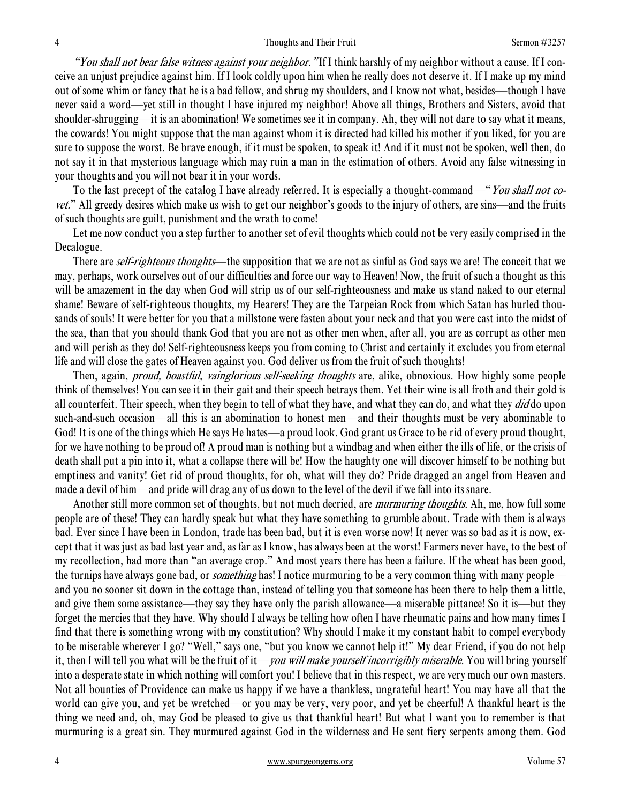"You shall not bear false witness against your neighbor." If I think harshly of my neighbor without a cause. If I conceive an unjust prejudice against him. If I look coldly upon him when he really does not deserve it. If I make up my mind out of some whim or fancy that he is a bad fellow, and shrug my shoulders, and I know not what, besides—though I have never said a word—yet still in thought I have injured my neighbor! Above all things, Brothers and Sisters, avoid that shoulder-shrugging—it is an abomination! We sometimes see it in company. Ah, they will not dare to say what it means, the cowards! You might suppose that the man against whom it is directed had killed his mother if you liked, for you are sure to suppose the worst. Be brave enough, if it must be spoken, to speak it! And if it must not be spoken, well then, do not say it in that mysterious language which may ruin a man in the estimation of others. Avoid any false witnessing in your thoughts and you will not bear it in your words.

To the last precept of the catalog I have already referred. It is especially a thought-command—"You shall not covet." All greedy desires which make us wish to get our neighbor's goods to the injury of others, are sins—and the fruits of such thoughts are guilt, punishment and the wrath to come!

 Let me now conduct you a step further to another set of evil thoughts which could not be very easily comprised in the Decalogue.

There are *self-righteous thoughts*—the supposition that we are not as sinful as God says we are! The conceit that we may, perhaps, work ourselves out of our difficulties and force our way to Heaven! Now, the fruit of such a thought as this will be amazement in the day when God will strip us of our self-righteousness and make us stand naked to our eternal shame! Beware of self-righteous thoughts, my Hearers! They are the Tarpeian Rock from which Satan has hurled thousands of souls! It were better for you that a millstone were fasten about your neck and that you were cast into the midst of the sea, than that you should thank God that you are not as other men when, after all, you are as corrupt as other men and will perish as they do! Self-righteousness keeps you from coming to Christ and certainly it excludes you from eternal life and will close the gates of Heaven against you. God deliver us from the fruit of such thoughts!

Then, again, *proud, boastful, vainglorious self-seeking thoughts* are, alike, obnoxious. How highly some people think of themselves! You can see it in their gait and their speech betrays them. Yet their wine is all froth and their gold is all counterfeit. Their speech, when they begin to tell of what they have, and what they can do, and what they  $di\dot{\theta}$  do upon such-and-such occasion—all this is an abomination to honest men—and their thoughts must be very abominable to God! It is one of the things which He says He hates—a proud look. God grant us Grace to be rid of every proud thought, for we have nothing to be proud of! A proud man is nothing but a windbag and when either the ills of life, or the crisis of death shall put a pin into it, what a collapse there will be! How the haughty one will discover himself to be nothing but emptiness and vanity! Get rid of proud thoughts, for oh, what will they do? Pride dragged an angel from Heaven and made a devil of him—and pride will drag any of us down to the level of the devil if we fall into its snare.

Another still more common set of thoughts, but not much decried, are *murmuring thoughts*. Ah, me, how full some people are of these! They can hardly speak but what they have something to grumble about. Trade with them is always bad. Ever since I have been in London, trade has been bad, but it is even worse now! It never was so bad as it is now, except that it was just as bad last year and, as far as I know, has always been at the worst! Farmers never have, to the best of my recollection, had more than "an average crop." And most years there has been a failure. If the wheat has been good, the turnips have always gone bad, or *something* has! I notice murmuring to be a very common thing with many people and you no sooner sit down in the cottage than, instead of telling you that someone has been there to help them a little, and give them some assistance—they say they have only the parish allowance—a miserable pittance! So it is—but they forget the mercies that they have. Why should I always be telling how often I have rheumatic pains and how many times I find that there is something wrong with my constitution? Why should I make it my constant habit to compel everybody to be miserable wherever I go? "Well," says one, "but you know we cannot help it!" My dear Friend, if you do not help it, then I will tell you what will be the fruit of it—*you will make yourself incorrigibly miserable*. You will bring yourself into a desperate state in which nothing will comfort you! I believe that in this respect, we are very much our own masters. Not all bounties of Providence can make us happy if we have a thankless, ungrateful heart! You may have all that the world can give you, and yet be wretched—or you may be very, very poor, and yet be cheerful! A thankful heart is the thing we need and, oh, may God be pleased to give us that thankful heart! But what I want you to remember is that murmuring is a great sin. They murmured against God in the wilderness and He sent fiery serpents among them. God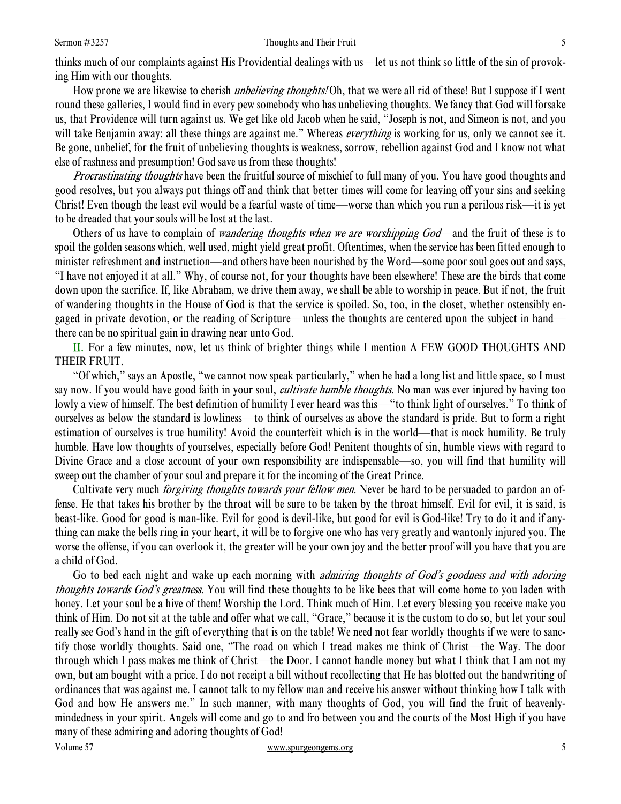### Sermon #3257 Sermon #3257 Sermon #3257 Sermon #3257 Sermon #3257 Sermon #3257 Sermon #3257 Sermon #3257 Sermon #3257 Sermon #3257 Sermon #3257 Sermon #3257 Sermon #3257 Sermon #3257 Sermon #3257 Sermon #3257 Sermon #3257 S

thinks much of our complaints against His Providential dealings with us—let us not think so little of the sin of provoking Him with our thoughts.

How prone we are likewise to cherish *unbelieving thoughts!* Oh, that we were all rid of these! But I suppose if I went round these galleries, I would find in every pew somebody who has unbelieving thoughts. We fancy that God will forsake us, that Providence will turn against us. We get like old Jacob when he said, "Joseph is not, and Simeon is not, and you will take Benjamin away: all these things are against me." Whereas everything is working for us, only we cannot see it. Be gone, unbelief, for the fruit of unbelieving thoughts is weakness, sorrow, rebellion against God and I know not what else of rashness and presumption! God save us from these thoughts!

Procrastinating thoughts have been the fruitful source of mischief to full many of you. You have good thoughts and good resolves, but you always put things off and think that better times will come for leaving off your sins and seeking Christ! Even though the least evil would be a fearful waste of time—worse than which you run a perilous risk—it is yet to be dreaded that your souls will be lost at the last.

Others of us have to complain of *wandering thoughts when we are worshipping God*—and the fruit of these is to spoil the golden seasons which, well used, might yield great profit. Oftentimes, when the service has been fitted enough to minister refreshment and instruction—and others have been nourished by the Word—some poor soul goes out and says, "I have not enjoyed it at all." Why, of course not, for your thoughts have been elsewhere! These are the birds that come down upon the sacrifice. If, like Abraham, we drive them away, we shall be able to worship in peace. But if not, the fruit of wandering thoughts in the House of God is that the service is spoiled. So, too, in the closet, whether ostensibly engaged in private devotion, or the reading of Scripture—unless the thoughts are centered upon the subject in hand there can be no spiritual gain in drawing near unto God.

II. For a few minutes, now, let us think of brighter things while I mention A FEW GOOD THOUGHTS AND THEIR FRUIT.

 "Of which," says an Apostle, "we cannot now speak particularly," when he had a long list and little space, so I must say now. If you would have good faith in your soul, *cultivate humble thoughts*. No man was ever injured by having too lowly a view of himself. The best definition of humility I ever heard was this—"to think light of ourselves." To think of ourselves as below the standard is lowliness—to think of ourselves as above the standard is pride. But to form a right estimation of ourselves is true humility! Avoid the counterfeit which is in the world—that is mock humility. Be truly humble. Have low thoughts of yourselves, especially before God! Penitent thoughts of sin, humble views with regard to Divine Grace and a close account of your own responsibility are indispensable—so, you will find that humility will sweep out the chamber of your soul and prepare it for the incoming of the Great Prince.

Cultivate very much *forgiving thoughts towards your fellow men*. Never be hard to be persuaded to pardon an offense. He that takes his brother by the throat will be sure to be taken by the throat himself. Evil for evil, it is said, is beast-like. Good for good is man-like. Evil for good is devil-like, but good for evil is God-like! Try to do it and if anything can make the bells ring in your heart, it will be to forgive one who has very greatly and wantonly injured you. The worse the offense, if you can overlook it, the greater will be your own joy and the better proof will you have that you are a child of God.

Volume 57 www.spurgeongems.org 5 Go to bed each night and wake up each morning with *admiring thoughts of God's goodness and with adoring* thoughts towards God's greatness. You will find these thoughts to be like bees that will come home to you laden with honey. Let your soul be a hive of them! Worship the Lord. Think much of Him. Let every blessing you receive make you think of Him. Do not sit at the table and offer what we call, "Grace," because it is the custom to do so, but let your soul really see God's hand in the gift of everything that is on the table! We need not fear worldly thoughts if we were to sanctify those worldly thoughts. Said one, "The road on which I tread makes me think of Christ—the Way. The door through which I pass makes me think of Christ—the Door. I cannot handle money but what I think that I am not my own, but am bought with a price. I do not receipt a bill without recollecting that He has blotted out the handwriting of ordinances that was against me. I cannot talk to my fellow man and receive his answer without thinking how I talk with God and how He answers me." In such manner, with many thoughts of God, you will find the fruit of heavenlymindedness in your spirit. Angels will come and go to and fro between you and the courts of the Most High if you have many of these admiring and adoring thoughts of God!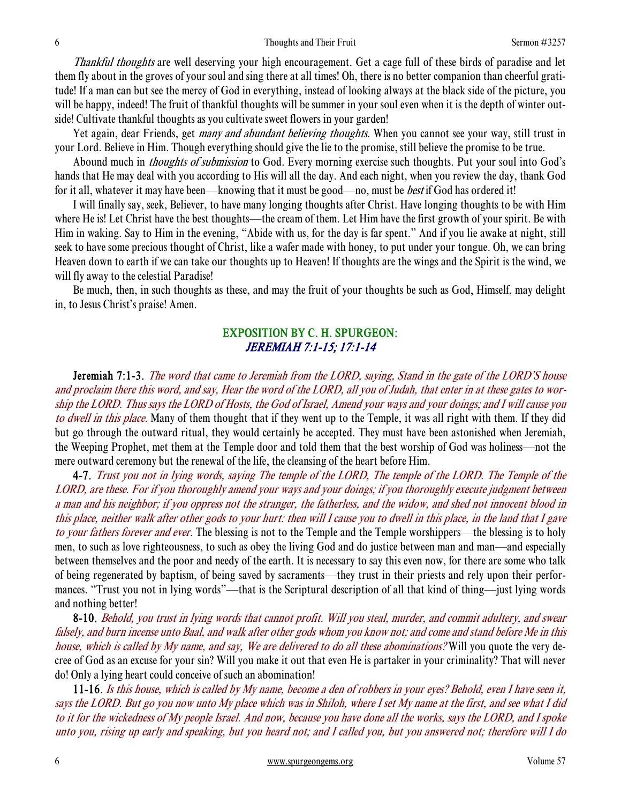Thankful thoughts are well deserving your high encouragement. Get a cage full of these birds of paradise and let them fly about in the groves of your soul and sing there at all times! Oh, there is no better companion than cheerful gratitude! If a man can but see the mercy of God in everything, instead of looking always at the black side of the picture, you will be happy, indeed! The fruit of thankful thoughts will be summer in your soul even when it is the depth of winter outside! Cultivate thankful thoughts as you cultivate sweet flowers in your garden!

Yet again, dear Friends, get *many and abundant believing thoughts*. When you cannot see your way, still trust in your Lord. Believe in Him. Though everything should give the lie to the promise, still believe the promise to be true.

Abound much in *thoughts of submission* to God. Every morning exercise such thoughts. Put your soul into God's hands that He may deal with you according to His will all the day. And each night, when you review the day, thank God for it all, whatever it may have been—knowing that it must be good—no, must be best if God has ordered it!

 I will finally say, seek, Believer, to have many longing thoughts after Christ. Have longing thoughts to be with Him where He is! Let Christ have the best thoughts—the cream of them. Let Him have the first growth of your spirit. Be with Him in waking. Say to Him in the evening, "Abide with us, for the day is far spent." And if you lie awake at night, still seek to have some precious thought of Christ, like a wafer made with honey, to put under your tongue. Oh, we can bring Heaven down to earth if we can take our thoughts up to Heaven! If thoughts are the wings and the Spirit is the wind, we will fly away to the celestial Paradise!

 Be much, then, in such thoughts as these, and may the fruit of your thoughts be such as God, Himself, may delight in, to Jesus Christ's praise! Amen.

## EXPOSITION BY C. H. SPURGEON: JEREMIAH 7:1-15; 17:1-14

 Jeremiah 7:1-3. The word that came to Jeremiah from the LORD, saying, Stand in the gate of the LORD'S house and proclaim there this word, and say, Hear the word of the LORD, all you of Judah, that enter in at these gates to worship the LORD. Thus says the LORD of Hosts, the God of Israel, Amend your ways and your doings; and I will cause you to dwell in this place. Many of them thought that if they went up to the Temple, it was all right with them. If they did but go through the outward ritual, they would certainly be accepted. They must have been astonished when Jeremiah, the Weeping Prophet, met them at the Temple door and told them that the best worship of God was holiness—not the mere outward ceremony but the renewal of the life, the cleansing of the heart before Him.

4-7. Trust you not in lying words, saying The temple of the LORD, The temple of the LORD. The Temple of the LORD, are these. For if you thoroughly amend your ways and your doings; if you thoroughly execute judgment between a man and his neighbor; if you oppress not the stranger, the fatherless, and the widow, and shed not innocent blood in this place, neither walk after other gods to your hurt: then will I cause you to dwell in this place, in the land that I gave to your fathers forever and ever. The blessing is not to the Temple and the Temple worshippers—the blessing is to holy men, to such as love righteousness, to such as obey the living God and do justice between man and man—and especially between themselves and the poor and needy of the earth. It is necessary to say this even now, for there are some who talk of being regenerated by baptism, of being saved by sacraments—they trust in their priests and rely upon their performances. "Trust you not in lying words"—that is the Scriptural description of all that kind of thing—just lying words and nothing better!

8-10. Behold, you trust in lying words that cannot profit. Will you steal, murder, and commit adultery, and swear falsely, and burn incense unto Baal, and walk after other gods whom you know not; and come and stand before Me in this house, which is called by My name, and say, We are delivered to do all these abominations? Will you quote the very decree of God as an excuse for your sin? Will you make it out that even He is partaker in your criminality? That will never do! Only a lying heart could conceive of such an abomination!

11-16. Is this house, which is called by My name, become a den of robbers in your eyes? Behold, even I have seen it, says the LORD. But go you now unto My place which was in Shiloh, where I set My name at the first, and see what I did to it for the wickedness of My people Israel. And now, because you have done all the works, says the LORD, and I spoke unto you, rising up early and speaking, but you heard not; and I called you, but you answered not; therefore will I do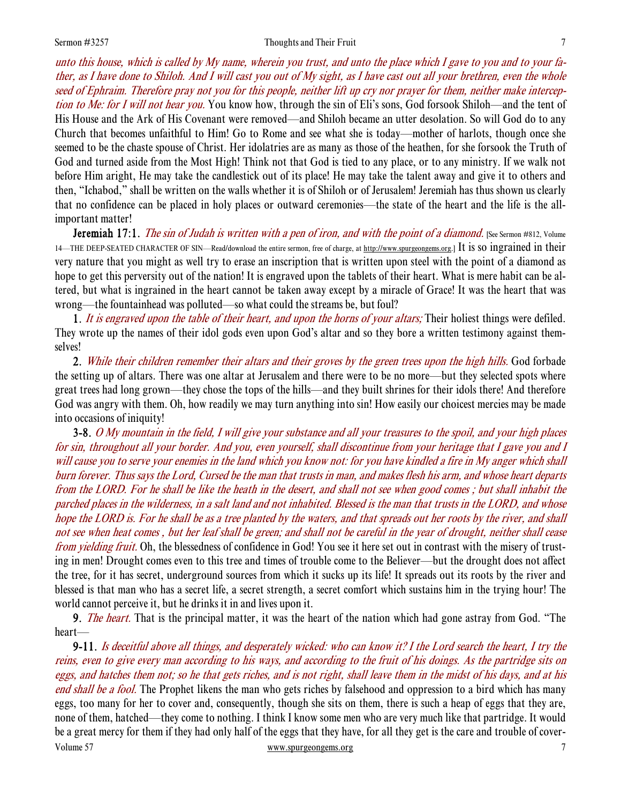### Sermon #3257 Thoughts and Their Fruit 7

unto this house, which is called by My name, wherein you trust, and unto the place which I gave to you and to your father, as I have done to Shiloh. And I will cast you out of My sight, as I have cast out all your brethren, even the whole seed of Ephraim. Therefore pray not you for this people, neither lift up cry nor prayer for them, neither make interception to Me: for I will not hear you. You know how, through the sin of Eli's sons, God forsook Shiloh—and the tent of His House and the Ark of His Covenant were removed—and Shiloh became an utter desolation. So will God do to any Church that becomes unfaithful to Him! Go to Rome and see what she is today—mother of harlots, though once she seemed to be the chaste spouse of Christ. Her idolatries are as many as those of the heathen, for she forsook the Truth of God and turned aside from the Most High! Think not that God is tied to any place, or to any ministry. If we walk not before Him aright, He may take the candlestick out of its place! He may take the talent away and give it to others and then, "Ichabod," shall be written on the walls whether it is of Shiloh or of Jerusalem! Jeremiah has thus shown us clearly that no confidence can be placed in holy places or outward ceremonies—the state of the heart and the life is the allimportant matter!

**Jeremiah 17:1.** The sin of Judah is written with a pen of iron, and with the point of a diamond. [See Sermon #812, Volume 14—THE DEEP-SEATED CHARACTER OF SIN—Read/download the entire sermon, free of charge, at http://www.spurgeongems.org.] It is so ingrained in their very nature that you might as well try to erase an inscription that is written upon steel with the point of a diamond as hope to get this perversity out of the nation! It is engraved upon the tablets of their heart. What is mere habit can be altered, but what is ingrained in the heart cannot be taken away except by a miracle of Grace! It was the heart that was wrong—the fountainhead was polluted—so what could the streams be, but foul?

1. It is engraved upon the table of their heart, and upon the horns of your altars; Their holiest things were defiled. They wrote up the names of their idol gods even upon God's altar and so they bore a written testimony against themselves!

2. While their children remember their altars and their groves by the green trees upon the high hills. God forbade the setting up of altars. There was one altar at Jerusalem and there were to be no more—but they selected spots where great trees had long grown—they chose the tops of the hills—and they built shrines for their idols there! And therefore God was angry with them. Oh, how readily we may turn anything into sin! How easily our choicest mercies may be made into occasions of iniquity!

3-8. O My mountain in the field, I will give your substance and all your treasures to the spoil, and your high places for sin, throughout all your border. And you, even yourself, shall discontinue from your heritage that I gave you and I will cause you to serve your enemies in the land which you know not: for you have kindled a fire in My anger which shall burn forever. Thus says the Lord, Cursed be the man that trusts in man, and makes flesh his arm, and whose heart departs from the LORD. For he shall be like the heath in the desert, and shall not see when good comes ; but shall inhabit the parched places in the wilderness, in a salt land and not inhabited. Blessed is the man that trusts in the LORD, and whose hope the LORD is. For he shall be as a tree planted by the waters, and that spreads out her roots by the river, and shall not see when heat comes , but her leaf shall be green; and shall not be careful in the year of drought, neither shall cease from yielding fruit. Oh, the blessedness of confidence in God! You see it here set out in contrast with the misery of trusting in men! Drought comes even to this tree and times of trouble come to the Believer—but the drought does not affect the tree, for it has secret, underground sources from which it sucks up its life! It spreads out its roots by the river and blessed is that man who has a secret life, a secret strength, a secret comfort which sustains him in the trying hour! The world cannot perceive it, but he drinks it in and lives upon it.

**9.** The heart. That is the principal matter, it was the heart of the nation which had gone astray from God. "The heart—

Volume 57 www.spurgeongems.org 7 7 9-11. Is deceitful above all things, and desperately wicked: who can know it? I the Lord search the heart, I try the reins, even to give every man according to his ways, and according to the fruit of his doings. As the partridge sits on eggs, and hatches them not; so he that gets riches, and is not right, shall leave them in the midst of his days, and at his end shall be a fool. The Prophet likens the man who gets riches by falsehood and oppression to a bird which has many eggs, too many for her to cover and, consequently, though she sits on them, there is such a heap of eggs that they are, none of them, hatched—they come to nothing. I think I know some men who are very much like that partridge. It would be a great mercy for them if they had only half of the eggs that they have, for all they get is the care and trouble of cover